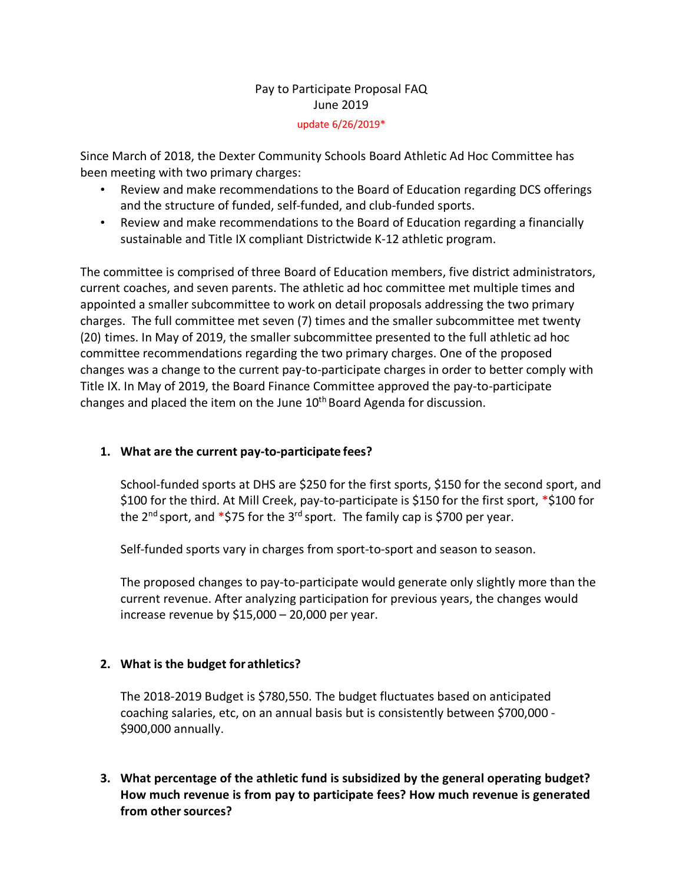# Pay to Participate Proposal FAQ June 2019

#### update 6/26/2019\*

Since March of 2018, the Dexter Community Schools Board Athletic Ad Hoc Committee has been meeting with two primary charges:

- Review and make recommendations to the Board of Education regarding DCS offerings and the structure of funded, self-funded, and club-funded sports.
- Review and make recommendations to the Board of Education regarding a financially sustainable and Title IX compliant Districtwide K-12 athletic program.

The committee is comprised of three Board of Education members, five district administrators, current coaches, and seven parents. The athletic ad hoc committee met multiple times and appointed a smaller subcommittee to work on detail proposals addressing the two primary charges. The full committee met seven (7) times and the smaller subcommittee met twenty (20) times. In May of 2019, the smaller subcommittee presented to the full athletic ad hoc committee recommendations regarding the two primary charges. One of the proposed changes was a change to the current pay-to-participate charges in order to better comply with Title IX. In May of 2019, the Board Finance Committee approved the pay-to-participate changes and placed the item on the June 10th Board Agenda for discussion.

## **1. What are the current pay-to-participate fees?**

School-funded sports at DHS are \$250 for the first sports, \$150 for the second sport, and \$100 for the third. At Mill Creek, pay-to-participate is \$150 for the first sport, \*\$100 for the  $2^{nd}$  sport, and  $*$ \$75 for the  $3^{rd}$  sport. The family cap is \$700 per year.

Self-funded sports vary in charges from sport-to-sport and season to season.

The proposed changes to pay-to-participate would generate only slightly more than the current revenue. After analyzing participation for previous years, the changes would increase revenue by \$15,000 – 20,000 per year.

#### **2. What is the budget for athletics?**

The 2018-2019 Budget is \$780,550. The budget fluctuates based on anticipated coaching salaries, etc, on an annual basis but is consistently between \$700,000 - \$900,000 annually.

**3. What percentage of the athletic fund is subsidized by the general operating budget? How much revenue is from pay to participate fees? How much revenue is generated**  from other sources?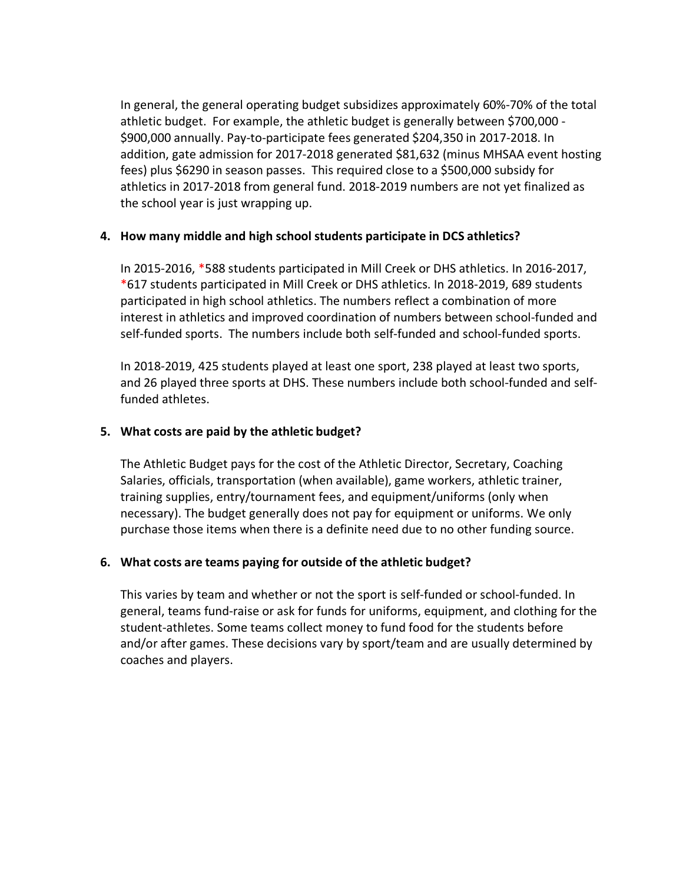In general, the general operating budget subsidizes approximately 60%-70% of the total athletic budget. For example, the athletic budget is generally between \$700,000 - \$900,000 annually. Pay-to-participate fees generated \$204,350 in 2017-2018. In addition, gate admission for 2017-2018 generated \$81,632 (minus MHSAA event hosting fees) plus \$6290 in season passes. This required close to a \$500,000 subsidy for athletics in 2017-2018 from general fund. 2018-2019 numbers are not yet finalized as the school year is just wrapping up.

## **4. How many middle and high school students participate in DCS athletics?**

In 2015-2016, \*588 students participated in Mill Creek or DHS athletics. In 2016-2017, \*617 students participated in Mill Creek or DHS athletics. In 2018-2019, 689 students participated in high school athletics. The numbers reflect a combination of more interest in athletics and improved coordination of numbers between school-funded and self-funded sports. The numbers include both self-funded and school-funded sports.

In 2018-2019, 425 students played at least one sport, 238 played at least two sports, and 26 played three sports at DHS. These numbers include both school-funded and selffunded athletes.

## **5. What costs are paid by the athletic budget?**

The Athletic Budget pays for the cost of the Athletic Director, Secretary, Coaching Salaries, officials, transportation (when available), game workers, athletic trainer, training supplies, entry/tournament fees, and equipment/uniforms (only when necessary). The budget generally does not pay for equipment or uniforms. We only purchase those items when there is a definite need due to no other funding source.

#### **6. What costs are teams paying for outside of the athletic budget?**

This varies by team and whether or not the sport is self-funded or school-funded. In general, teams fund-raise or ask for funds for uniforms, equipment, and clothing for the student-athletes. Some teams collect money to fund food for the students before and/or after games. These decisions vary by sport/team and are usually determined by coaches and players.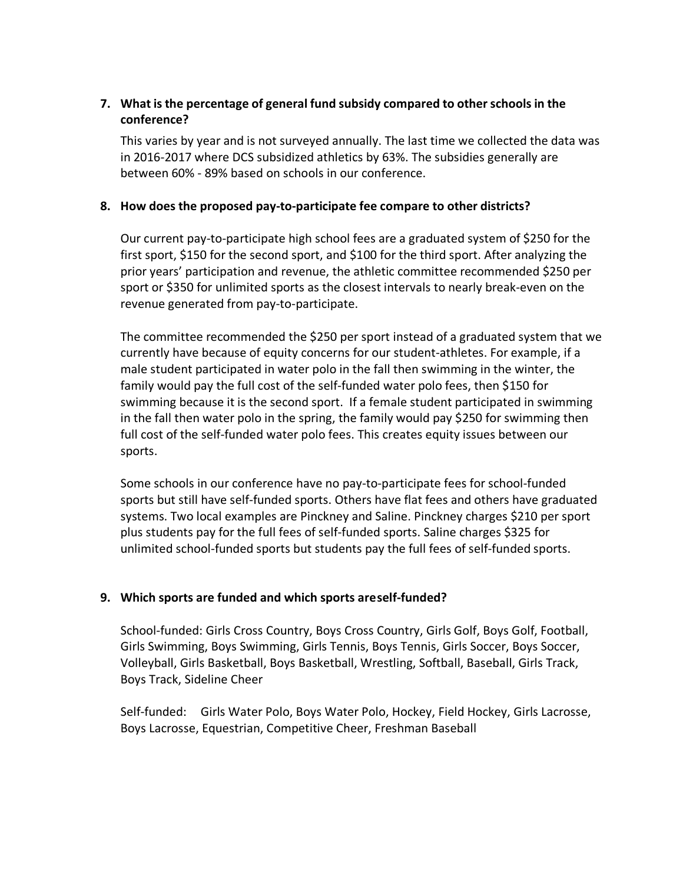## **7. What is the percentage of general fund subsidy compared to other schools in the conference?**

This varies by year and is not surveyed annually. The last time we collected the data was in 2016-2017 where DCS subsidized athletics by 63%. The subsidies generally are between 60% - 89% based on schools in our conference.

## **8. How does the proposed pay-to-participate fee compare to other districts?**

Our current pay-to-participate high school fees are a graduated system of \$250 for the first sport, \$150 for the second sport, and \$100 for the third sport. After analyzing the prior years' participation and revenue, the athletic committee recommended \$250 per sport or \$350 for unlimited sports as the closest intervals to nearly break-even on the revenue generated from pay-to-participate.

The committee recommended the \$250 per sport instead of a graduated system that we currently have because of equity concerns for our student-athletes. For example, if a male student participated in water polo in the fall then swimming in the winter, the family would pay the full cost of the self-funded water polo fees, then \$150 for swimming because it is the second sport. If a female student participated in swimming in the fall then water polo in the spring, the family would pay \$250 for swimming then full cost of the self-funded water polo fees. This creates equity issues between our sports.

Some schools in our conference have no pay-to-participate fees for school-funded sports but still have self-funded sports. Others have flat fees and others have graduated systems. Two local examples are Pinckney and Saline. Pinckney charges \$210 per sport plus students pay for the full fees of self-funded sports. Saline charges \$325 for unlimited school-funded sports but students pay the full fees of self-funded sports.

## **9. Which sports are funded and which sports areself-funded?**

School-funded: Girls Cross Country, Boys Cross Country, Girls Golf, Boys Golf, Football, Girls Swimming, Boys Swimming, Girls Tennis, Boys Tennis, Girls Soccer, Boys Soccer, Volleyball, Girls Basketball, Boys Basketball, Wrestling, Softball, Baseball, Girls Track, Boys Track, Sideline Cheer

Self-funded: Girls Water Polo, Boys Water Polo, Hockey, Field Hockey, Girls Lacrosse, Boys Lacrosse, Equestrian, Competitive Cheer, Freshman Baseball